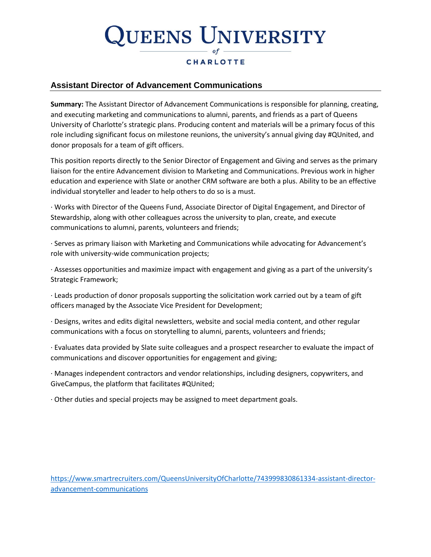# **UEENS UNIVERSITY**

### **CHARLOTTE**

### **Assistant Director of Advancement Communications**

**Summary:** The Assistant Director of Advancement Communications is responsible for planning, creating, and executing marketing and communications to alumni, parents, and friends as a part of Queens University of Charlotte's strategic plans. Producing content and materials will be a primary focus of this role including significant focus on milestone reunions, the university's annual giving day #QUnited, and donor proposals for a team of gift officers.

This position reports directly to the Senior Director of Engagement and Giving and serves as the primary liaison for the entire Advancement division to Marketing and Communications. Previous work in higher education and experience with Slate or another CRM software are both a plus. Ability to be an effective individual storyteller and leader to help others to do so is a must.

· Works with Director of the Queens Fund, Associate Director of Digital Engagement, and Director of Stewardship, along with other colleagues across the university to plan, create, and execute communications to alumni, parents, volunteers and friends;

· Serves as primary liaison with Marketing and Communications while advocating for Advancement's role with university-wide communication projects;

· Assesses opportunities and maximize impact with engagement and giving as a part of the university's Strategic Framework;

· Leads production of donor proposals supporting the solicitation work carried out by a team of gift officers managed by the Associate Vice President for Development;

· Designs, writes and edits digital newsletters, website and social media content, and other regular communications with a focus on storytelling to alumni, parents, volunteers and friends;

· Evaluates data provided by Slate suite colleagues and a prospect researcher to evaluate the impact of communications and discover opportunities for engagement and giving;

· Manages independent contractors and vendor relationships, including designers, copywriters, and GiveCampus, the platform that facilitates #QUnited;

· Other duties and special projects may be assigned to meet department goals.